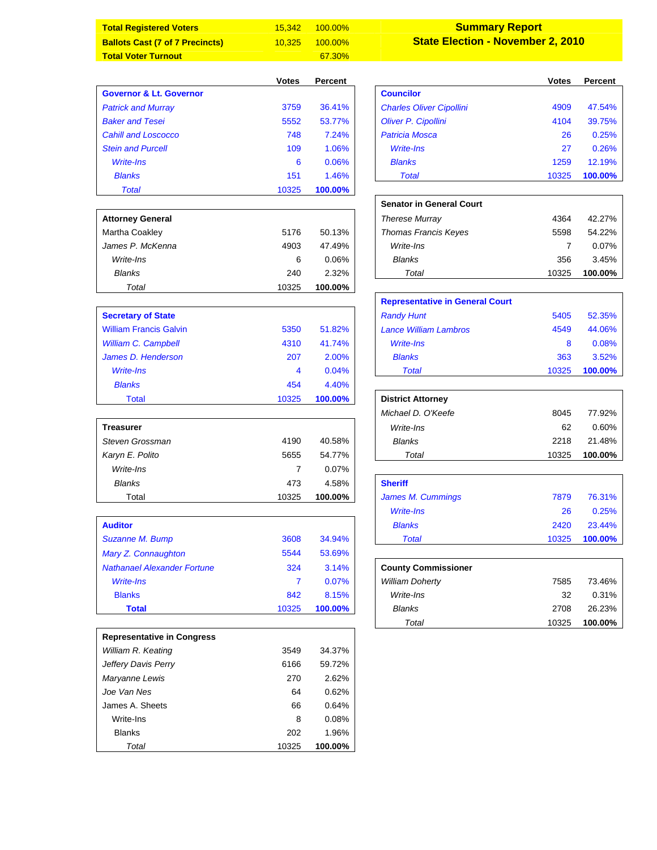| <b>Total Registered Voters</b>                            | 15,342         | 100.00% | <b>Summary Report</b>                    |              |         |
|-----------------------------------------------------------|----------------|---------|------------------------------------------|--------------|---------|
| <b>Ballots Cast (7 of 7 Precincts)</b>                    | 10,325         | 100.00% | <b>State Election - November 2, 2010</b> |              |         |
| <b>Total Voter Turnout</b>                                |                | 67.30%  |                                          |              |         |
|                                                           |                |         |                                          |              |         |
|                                                           | <b>Votes</b>   | Percent |                                          | <b>Votes</b> | Percent |
| <b>Governor &amp; Lt. Governor</b>                        |                |         | <b>Councilor</b>                         |              |         |
| <b>Patrick and Murray</b>                                 | 3759           | 36.41%  | <b>Charles Oliver Cipollini</b>          | 4909         | 47.54%  |
| <b>Baker and Tesei</b>                                    | 5552           | 53.77%  | Oliver P. Cipollini                      | 4104         | 39.75%  |
| <b>Cahill and Loscocco</b>                                | 748            | 7.24%   | <b>Patricia Mosca</b>                    | 26           | 0.25%   |
| <b>Stein and Purcell</b>                                  | 109            | 1.06%   | <b>Write-Ins</b>                         | 27           | 0.26%   |
| Write-Ins                                                 | 6              | 0.06%   | <b>Blanks</b>                            | 1259         | 12.19%  |
| <b>Blanks</b>                                             | 151            | 1.46%   | <b>Total</b>                             | 10325        | 100.00% |
| <b>Total</b>                                              | 10325          | 100.00% |                                          |              |         |
|                                                           |                |         | <b>Senator in General Court</b>          |              |         |
| <b>Attorney General</b>                                   |                |         | <b>Therese Murray</b>                    | 4364         | 42.27%  |
| Martha Coakley                                            | 5176           | 50.13%  | Thomas Francis Keyes                     | 5598         | 54.22%  |
| James P. McKenna                                          | 4903           | 47.49%  | Write-Ins                                | 7            | 0.07%   |
| Write-Ins                                                 | 6              | 0.06%   | <b>Blanks</b>                            | 356          | 3.45%   |
| <b>Blanks</b>                                             | 240            | 2.32%   | Total                                    | 10325        | 100.00% |
| Total                                                     | 10325          | 100.00% |                                          |              |         |
|                                                           |                |         | <b>Representative in General Court</b>   |              |         |
| <b>Secretary of State</b>                                 |                |         | <b>Randy Hunt</b>                        | 5405         | 52.35%  |
| <b>William Francis Galvin</b>                             | 5350           | 51.82%  | <b>Lance William Lambros</b>             | 4549         | 44.06%  |
| <b>William C. Campbell</b>                                | 4310           | 41.74%  | <b>Write-Ins</b>                         | 8            | 0.08%   |
| James D. Henderson                                        | 207            | 2.00%   | <b>Blanks</b>                            | 363          | 3.52%   |
| Write-Ins                                                 | 4              | 0.04%   | <b>Total</b>                             | 10325        | 100.00% |
| <b>Blanks</b>                                             | 454            | 4.40%   |                                          |              |         |
| <b>Total</b>                                              | 10325          | 100.00% | <b>District Attorney</b>                 |              |         |
|                                                           |                |         | Michael D. O'Keefe                       | 8045         | 77.92%  |
| <b>Treasurer</b>                                          |                |         | Write-Ins                                | 62           | 0.60%   |
| Steven Grossman                                           | 4190           | 40.58%  | Blanks                                   | 2218         | 21.48%  |
| Karyn E. Polito                                           | 5655           | 54.77%  | Total                                    | 10325        | 100.00% |
| Write-Ins                                                 | $\overline{7}$ | 0.07%   |                                          |              |         |
| <b>Blanks</b>                                             | 473            | 4.58%   | <b>Sheriff</b>                           |              |         |
| Total                                                     | 10325          | 100.00% | James M. Cummings                        | 7879         | 76.31%  |
|                                                           |                |         | <b>Write-Ins</b>                         | 26           | 0.25%   |
| <b>Auditor</b>                                            |                |         | <b>Blanks</b>                            | 2420         | 23.44%  |
| Suzanne M. Bump                                           | 3608           | 34.94%  | <b>Total</b>                             | 10325        | 100.00% |
|                                                           | 5544           | 53.69%  |                                          |              |         |
| Mary Z. Connaughton<br><b>Nathanael Alexander Fortune</b> |                |         |                                          |              |         |
|                                                           | 324            | 3.14%   | <b>County Commissioner</b>               |              |         |
| Write-Ins                                                 | $\overline{7}$ | 0.07%   | <b>William Doherty</b>                   | 7585         | 73.46%  |
| <b>Blanks</b>                                             | 842            | 8.15%   | Write-Ins                                | 32           | 0.31%   |
| <b>Total</b>                                              | 10325          | 100.00% | Blanks                                   | 2708         | 26.23%  |
|                                                           |                |         | Total                                    | 10325        | 100.00% |
| <b>Representative in Congress</b>                         |                |         |                                          |              |         |
| William R. Keating                                        | 3549           | 34.37%  |                                          |              |         |
| Jeffery Davis Perry                                       | 6166           | 59.72%  |                                          |              |         |
| Maryanne Lewis                                            | 270            | 2.62%   |                                          |              |         |
| Joe Van Nes                                               | 64             | 0.62%   |                                          |              |         |
| James A. Sheets                                           | 66             | 0.64%   |                                          |              |         |
| Write-Ins                                                 | 8              | 0.08%   |                                          |              |         |
| <b>Blanks</b>                                             | 202            | 1.96%   |                                          |              |         |
| Total                                                     | 10325          | 100.00% |                                          |              |         |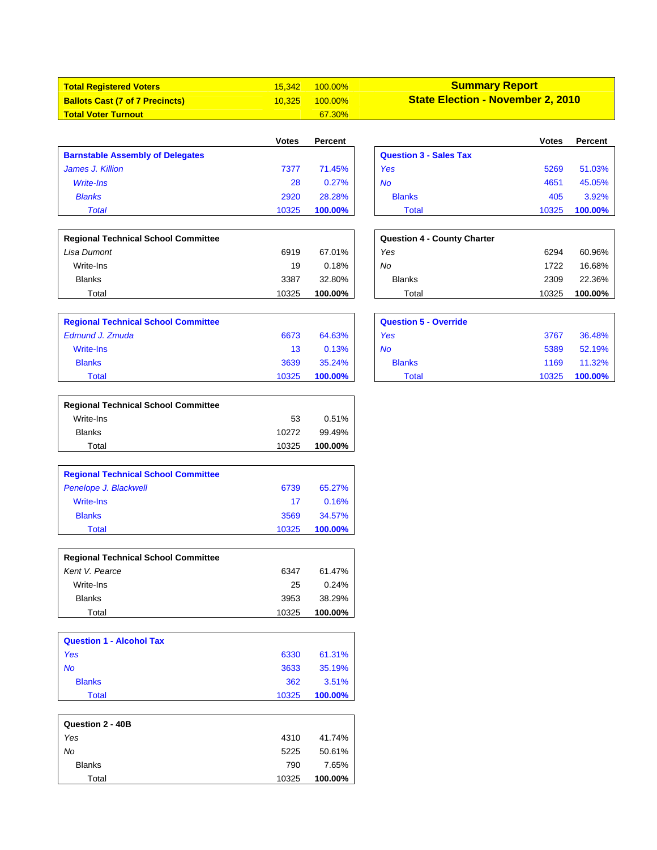| <b>Total Registered Voters</b>         | 15.342 | $100.00\%$    | <b>Summary Report</b>                    |
|----------------------------------------|--------|---------------|------------------------------------------|
| <b>Ballots Cast (7 of 7 Precincts)</b> | 10.325 | $100.00\%$    | <b>State Election - November 2, 2010</b> |
| <b>Total Voter Turnout</b>             |        | <b>67.30%</b> |                                          |

|                                         | <b>Votes</b> | Percent |                               | Votes | Percent |
|-----------------------------------------|--------------|---------|-------------------------------|-------|---------|
| <b>Barnstable Assembly of Delegates</b> |              |         | <b>Question 3 - Sales Tax</b> |       |         |
| James J. Killion                        | 7377         | 71.45%  | Yes                           | 5269  | 51.03%  |
| Write-Ins                               | 28           | 0.27%   | <b>No</b>                     | 4651  | 45.05%  |
| <b>Blanks</b>                           | 2920         | 28.28%  | <b>Blanks</b>                 | 405   | 3.92%   |
| Total                                   | 10325        | 100.00% | Total                         | 10325 | 100.00% |

| Votes | <b>Percent</b> |                               | <b>Votes</b> | <b>Percent</b> |
|-------|----------------|-------------------------------|--------------|----------------|
|       |                | <b>Question 3 - Sales Tax</b> |              |                |
| 7377  | 71.45%         | Yes                           | 5269         | 51.03%         |
| 28    | 0.27%          | No                            | 4651         | 45.05%         |
| 2920  | 28.28%         | <b>Blanks</b>                 | 405          | 3.92%          |
| 10325 | 100.00%        | Total                         | 10325        | 100.00%        |

| <b>Regional Technical School Committee</b> |       |         | <b>Question 4 - County Charter</b> |       |         |
|--------------------------------------------|-------|---------|------------------------------------|-------|---------|
| Lisa Dumont                                | 6919  | 67.01%  | Yes                                | 6294  | 60.96%  |
| Write-Ins                                  | 19    | 0.18%   | No                                 | 1722  | 16.68%  |
| <b>Blanks</b>                              | 3387  | 32.80%  | <b>Blanks</b>                      | 2309  | 22.36%  |
| Total                                      | 10325 | 100.00% | Total                              | 10325 | 100.00% |

| <b>Question 4 - County Charter</b> |       |         |
|------------------------------------|-------|---------|
| Yes                                | 6294  | 60.96%  |
| No                                 | 1722  | 16.68%  |
| <b>Blanks</b>                      | 2309  | 22.36%  |
| Total                              | 10325 | 100.00% |
|                                    |       |         |
|                                    |       |         |

| <b>Regional Technical School Committee</b> |       |         | <b>Question 5 - Override</b> |       |         |
|--------------------------------------------|-------|---------|------------------------------|-------|---------|
| Edmund J. Zmuda                            | 6673  | 64.63%  | Yes                          | 3767  | 36.48%  |
| Write-Ins                                  | 13    | 0.13%   | <b>No</b>                    | 5389  | 52.19%  |
| <b>Blanks</b>                              | 3639  | 35.24%  | <b>Blanks</b>                | 1169  | 11.32%  |
| <b>Total</b>                               | 10325 | 100.00% | Total                        | 10325 | 100.00% |

| <b>Question 5 - Override</b> |       |         |
|------------------------------|-------|---------|
| Yes                          | 3767  | 36.48%  |
| <b>No</b>                    | 5389  | 52.19%  |
| <b>Blanks</b>                | 1169  | 11.32%  |
| Total                        | 10325 | 100.00% |
|                              |       |         |

| <b>Regional Technical School Committee</b> |       |         |
|--------------------------------------------|-------|---------|
| Write-Ins                                  | 53    | 0.51%   |
| <b>Blanks</b>                              | 10272 | 99.49%  |
| Total                                      | 10325 | 100.00% |

| <b>Regional Technical School Committee</b> |       |         |
|--------------------------------------------|-------|---------|
| Penelope J. Blackwell                      | 6739  | 65.27%  |
| <b>Write-Ins</b>                           | 17    | 0.16%   |
| <b>Blanks</b>                              | 3569  | 34.57%  |
| Total                                      | 10325 | 100.00% |

| <b>Regional Technical School Committee</b> |       |          |
|--------------------------------------------|-------|----------|
| Kent V. Pearce                             | 6347  | 61.47%   |
| Write-Ins                                  | 25    | $0.24\%$ |
| <b>Blanks</b>                              | 3953  | 38.29%   |
| Total                                      | 10325 | 100.00%  |

| <b>Question 1 - Alcohol Tax</b> |       |         |
|---------------------------------|-------|---------|
| Yes                             | 6330  | 61.31%  |
| No                              | 3633  | 35.19%  |
| <b>Blanks</b>                   | 362   | 3.51%   |
| Total                           | 10325 | 100.00% |

| Question 2 - 40B |       |         |
|------------------|-------|---------|
| Yes              | 4310  | 41.74%  |
| No               | 5225  | 50.61%  |
| <b>Blanks</b>    | 790   | 7.65%   |
| Total            | 10325 | 100.00% |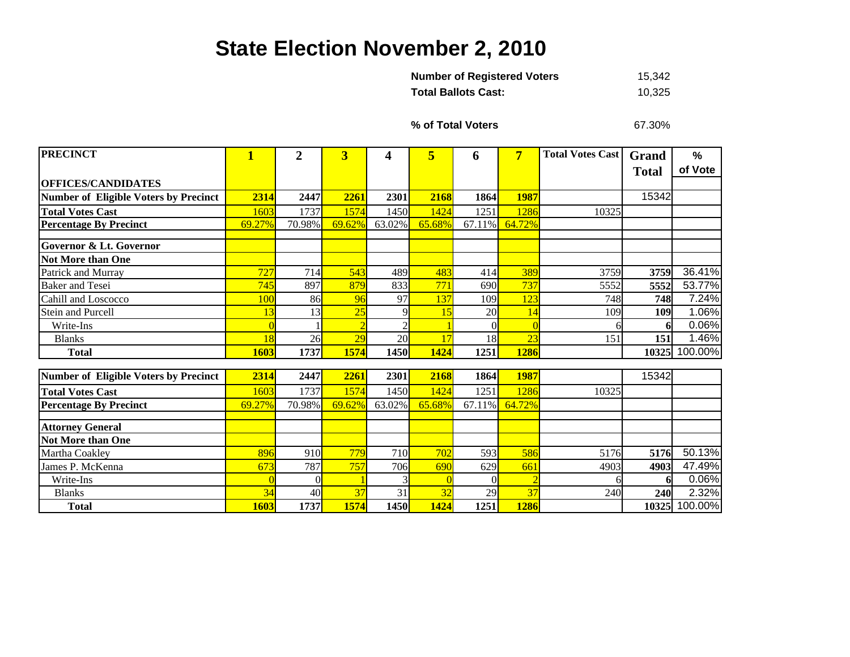## **State Election November 2, 2010**

| <b>Number of Registered Voters</b> | 15.342 |
|------------------------------------|--------|
| Total Ballots Cast:                | 10.325 |

**% of Total Voters**

67.30%

| <b>PRECINCT</b>                              | 1          | $\overline{2}$ | 3      | 4           | 5      | 6        | $\overline{7}$ | <b>Total Votes Cast</b> | Grand        | $\frac{0}{0}$ |
|----------------------------------------------|------------|----------------|--------|-------------|--------|----------|----------------|-------------------------|--------------|---------------|
|                                              |            |                |        |             |        |          |                |                         | <b>Total</b> | of Vote       |
| <b>OFFICES/CANDIDATES</b>                    |            |                |        |             |        |          |                |                         |              |               |
| <b>Number of Eligible Voters by Precinct</b> | 2314       | 2447           | 2261   | 2301        | 2168   | 1864     | 1987           |                         | 15342        |               |
| <b>Total Votes Cast</b>                      | 1603       | 1737           | 1574   | 1450        | 1424   | 1251     | 1286           | 10325                   |              |               |
| <b>Percentage By Precinct</b>                | 69.27%     | 70.98%         | 69.62% | 63.02%      | 65.68% | 67.11%   | 64.72%         |                         |              |               |
| <b>Governor &amp; Lt. Governor</b>           |            |                |        |             |        |          |                |                         |              |               |
|                                              |            |                |        |             |        |          |                |                         |              |               |
| <b>Not More than One</b>                     |            |                |        |             |        |          |                |                         |              |               |
| Patrick and Murray                           | 727        | 714            | 543    | 489         | 483    | 414      | 389            | 3759                    | 3759         | 36.41%        |
| <b>Baker</b> and Tesei                       | 745        | 897            | 879    | 833         | 771    | 690      | 737            | 5552                    | 5552         | 53.77%        |
| Cahill and Loscocco                          | 100        | 86             | 96     | 97          | 137    | 109      | 123            | 748                     | 748          | 7.24%         |
| <b>Stein and Purcell</b>                     | 13         | 13             | 25     | 9           | 15     | 20       | 14             | 109                     | 109          | 1.06%         |
| Write-Ins                                    |            |                |        |             |        |          |                | 6                       |              | 0.06%         |
| <b>Blanks</b>                                | 18         | 26             | 29     | 20          | 17     | 18       | 23             | 151                     | 151          | 1.46%         |
| <b>Total</b>                                 | 1603       | 1737           | 1574   | <b>1450</b> | 1424   | 1251     | <b>1286</b>    |                         | 10325        | 100.00%       |
|                                              |            |                |        |             |        |          |                |                         |              |               |
| <b>Number of Eligible Voters by Precinct</b> | 2314       | 2447           | 2261   | 2301        | 2168   | 1864     | <b>1987</b>    |                         | 15342        |               |
| <b>Total Votes Cast</b>                      | 1603       | 1737           | 1574   | 1450        | 1424   | 1251     | 1286           | 10325                   |              |               |
| <b>Percentage By Precinct</b>                | 69.27%     | 70.98%         | 69.62% | 63.02%      | 65.68% | 67.11%   | 64.72%         |                         |              |               |
|                                              |            |                |        |             |        |          |                |                         |              |               |
| <b>Attorney General</b>                      |            |                |        |             |        |          |                |                         |              |               |
| <b>Not More than One</b>                     |            |                |        |             |        |          |                |                         |              |               |
| Martha Coakley                               | 896        | 910            | 779    | 710         | 702    | 593      | 586            | 5176                    | 5176         | 50.13%        |
| James P. McKenna                             | 673        | 787            | 757    | 706         | 690    | 629      | 661            | 4903                    | 4903         | 47.49%        |
| Write-Ins                                    | $\sqrt{ }$ | $\Omega$       |        |             |        | $\Omega$ | $\overline{2}$ | 6                       |              | 0.06%         |
| <b>Blanks</b>                                | 34         | 40             | 37     | 31          | 32     | 29       | 37             | 240                     | 240          | 2.32%         |
| <b>Total</b>                                 | 1603       | 1737           | 1574   | 1450        | 1424   | 1251     | <b>1286</b>    |                         | 10325        | 100.00%       |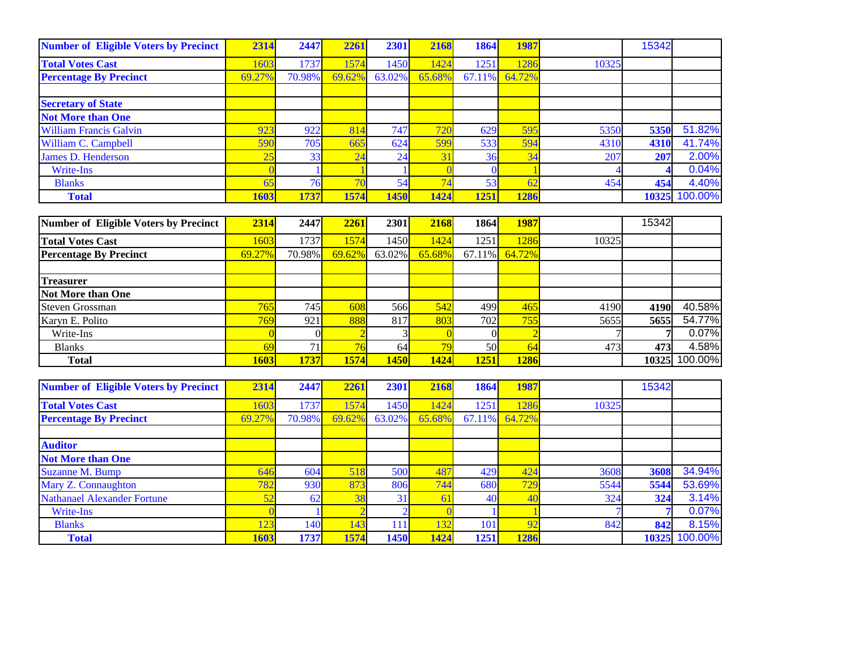| <b>Number of Eligible Voters by Precinct</b> | 2314   | 2447   | 2261            | 2301            | 2168   | 1864            | 1987   |       | 15342 |         |
|----------------------------------------------|--------|--------|-----------------|-----------------|--------|-----------------|--------|-------|-------|---------|
| <b>Total Votes Cast</b>                      | 1603   | 1737   | 1574            | 1450            | 1424   | 1251            | 1286   | 10325 |       |         |
| <b>Percentage By Precinct</b>                | 69.27% | 70.98% | 69.62%          | 63.02%          | 65.68% | 67.11%          | 64.72% |       |       |         |
|                                              |        |        |                 |                 |        |                 |        |       |       |         |
| <b>Secretary of State</b>                    |        |        |                 |                 |        |                 |        |       |       |         |
| <b>Not More than One</b>                     |        |        |                 |                 |        |                 |        |       |       |         |
| <b>William Francis Galvin</b>                | 923    | 922    | 814             | 747             | 720    | 629             | 595    | 5350  | 5350  | 51.82%  |
| William C. Campbell                          | 590    | 705    | 665             | 624             | 599    | 533             | 594    | 4310  | 4310  | 41.74%  |
| James D. Henderson                           |        | 33     | $\overline{24}$ | 24              | 31     | 36 <sub>l</sub> | 34     | 207   | 207   | 2.00%   |
| Write-Ins                                    |        |        |                 |                 |        |                 |        |       |       | 0.04%   |
| <b>Blanks</b>                                |        | 76     |                 | 54 <sub>1</sub> | 74     | 53              | 62     | 454   | 454   | 4.40%   |
| <b>Total</b>                                 | 1603   | 1737   | 1574            | 1450            | 1424   | 1251            | 1286   |       | 10325 | 100.00% |

| Number of Eligible Voters by Precinct | 2314        | 2447        | 2261   | 2301        | 2168   | 1864            | <b>1987</b>      |       | 15342 |         |
|---------------------------------------|-------------|-------------|--------|-------------|--------|-----------------|------------------|-------|-------|---------|
| <b>Total Votes Cast</b>               | 1603        | 1737        | 1574   | 1450        | 1424   | 1251            | 1286             | 10325 |       |         |
| <b>Percentage By Precinct</b>         | 69.27%      | 70.98%      | 69.62% | $63.02\%$   | 65.68% |                 | $67.11\%$ 64.72% |       |       |         |
|                                       |             |             |        |             |        |                 |                  |       |       |         |
| <b>Treasurer</b>                      |             |             |        |             |        |                 |                  |       |       |         |
| <b>Not More than One</b>              |             |             |        |             |        |                 |                  |       |       |         |
| Steven Grossman                       | 765         | 745         | 608    | 566         | 542    | 499             | 465              | 4190  | 4190  | 40.58%  |
| Karyn E. Polito                       | 769         | 921         | 888    | 817         | 803    | 702             | 755              | 5655  | 5655  | 54.77%  |
| Write-Ins                             |             |             |        |             |        |                 |                  |       |       | 0.07%   |
| <b>Blanks</b>                         | 69          | 71          |        | 64          | 79     | 50 <sub>l</sub> | 64               | 473   | 473   | 4.58%   |
| <b>Total</b>                          | <b>1603</b> | <b>1737</b> | 1574   | <b>1450</b> | 1424   | 1251            | <b>1286</b>      |       | 10325 | 100.00% |

| <b>Number of Eligible Voters by Precinct</b> | 2314   | 2447        | 2261   | 2301       | 2168   | 1864   | 1987     |       | 15342 |               |
|----------------------------------------------|--------|-------------|--------|------------|--------|--------|----------|-------|-------|---------------|
| <b>Total Votes Cast</b>                      | 1603   | 1737        | 1574   | 1450       | 1424   | 1251   | 1286     | 10325 |       |               |
| <b>Percentage By Precinct</b>                | 69.27% | 70.98%      | 69.62% | 63.02%     | 65.68% | 67.11% | 64.72%   |       |       |               |
|                                              |        |             |        |            |        |        |          |       |       |               |
| <b>Auditor</b>                               |        |             |        |            |        |        |          |       |       |               |
| <b>Not More than One</b>                     |        |             |        |            |        |        |          |       |       |               |
| Suzanne M. Bump                              | 646    | 604         | 518    | <b>500</b> | 487    | 429    | 424      | 3608  | 3608  | 34.94%        |
| Mary Z. Connaughton                          | 782    | <b>930</b>  | 873    | 806        | 744    | 680    | 729      | 5544  | 5544  | 53.69%        |
| <b>Nathanael Alexander Fortune</b>           | 52     | 62          | 38     | 31         | 61     | 40     | 40       | 324   | 324   | 3.14%         |
| Write-Ins                                    |        |             |        |            |        |        |          |       |       | 0.07%         |
| <b>Blanks</b>                                | 123    | 140         | 143    | 111        | 132    | 101    | $\Omega$ | 842   | 842   | 8.15%         |
| <b>Total</b>                                 | 1603   | <b>1737</b> | 1574   | 1450       | 1424   | 1251   | 1286     |       |       | 10325 100.00% |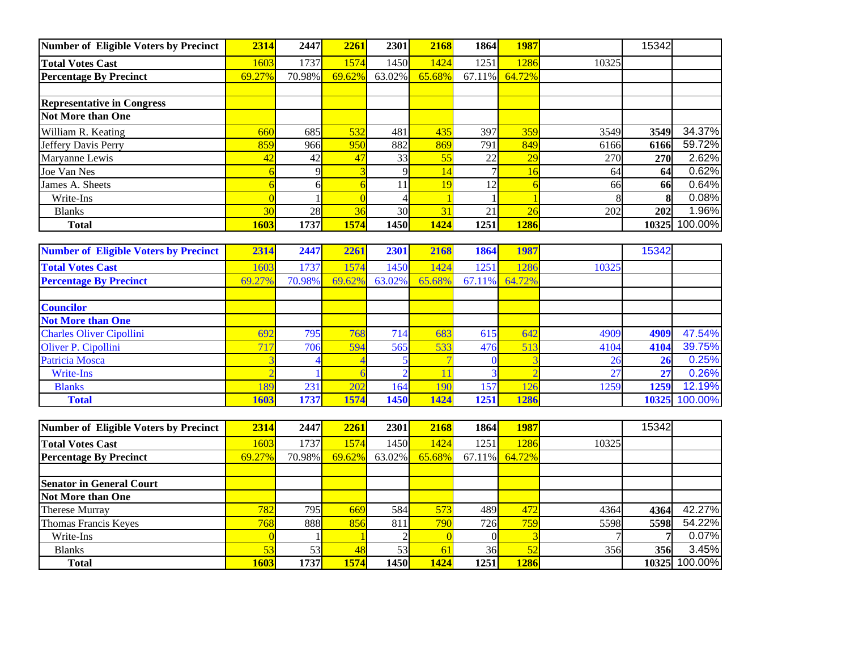| Number of Eligible Voters by Precinct | 2314            | 2447   | 2261   | 2301   | 2168   | 1864      | 1987   |               | 15342      |         |
|---------------------------------------|-----------------|--------|--------|--------|--------|-----------|--------|---------------|------------|---------|
| <b>Total Votes Cast</b>               | 1603            | 1737   | 1574   | 1450   | 1424   | 1251      | 1286   | 10325         |            |         |
| <b>Percentage By Precinct</b>         | 69.27%          | 70.98% | 69.62% | 63.02% | 65.68% | $67.11\%$ | 64.72% |               |            |         |
|                                       |                 |        |        |        |        |           |        |               |            |         |
| <b>Representative in Congress</b>     |                 |        |        |        |        |           |        |               |            |         |
| <b>Not More than One</b>              |                 |        |        |        |        |           |        |               |            |         |
| William R. Keating                    | 660             | 685    | 532    | 481    | 435    | 397       | 359    | 3549          | 3549       | 34.37%  |
| Jeffery Davis Perry                   | 859             | 966    | 950    | 882    | 869    | 791       | 849    | 6166          | 6166       | 59.72%  |
| Maryanne Lewis                        | 42              | 42     | 47     | 33     | 55     | 22        | 29     | 270           | <b>270</b> | 2.62%   |
| Joe Van Nes                           |                 |        |        |        | 14     |           | 16     | <sup>64</sup> | 64         | 0.62%   |
| James A. Sheets                       |                 | ы      |        |        | 19     | 12        |        | 66            | 66         | 0.64%   |
| Write-Ins                             |                 |        |        |        |        |           |        |               |            | 0.08%   |
| <b>Blanks</b>                         | 30 <sub>o</sub> | 28     | 36     | 30     | 31     | 21        | 26     | 202           | 202        | 1.96%   |
| <b>Total</b>                          | 1603            | 1737   | 1574   | 1450   | 1424   | 1251      | 1286   |               | 10325      | 100.00% |

| <b>Number of Eligible Voters by Precinct</b> | 2314            | 2447   | 2261   | 2301   | 2168   | 1864   | 1987   |       | 15342 |         |
|----------------------------------------------|-----------------|--------|--------|--------|--------|--------|--------|-------|-------|---------|
| <b>Total Votes Cast</b>                      | 603             | 1737   | 1574   | 1450   | 1424   | 1251   | 1286   | 10325 |       |         |
| <b>Percentage By Precinct</b>                | 69.27%          | 70.98% | 69.62% | 63.02% | 65.68% | 67.11% | 64.72% |       |       |         |
|                                              |                 |        |        |        |        |        |        |       |       |         |
| <b>Councilor</b>                             |                 |        |        |        |        |        |        |       |       |         |
| <b>Not More than One</b>                     |                 |        |        |        |        |        |        |       |       |         |
| <b>Charles Oliver Cipollini</b>              | 69 <sup>7</sup> | 795    | 768    | 714    | 683    | 615    | 642    | 4909  | 4909  | 47.54%  |
| Oliver P. Cipollini                          | 71 <sup>7</sup> | 706    | 594    | 565    | 533    | 476    | 513    | 4104  | 4104  | 39.75%  |
| <b>Patricia Mosca</b>                        |                 |        |        |        |        |        |        | 26    | 26    | 0.25%   |
| Write-Ins                                    |                 |        |        |        |        |        |        | 27    | 27    | 0.26%   |
| <b>Blanks</b>                                | 189             | 231    | 202    | 164    | 190    | 157    | 126    | 1259  | 1259  | 12.19%  |
| <b>Total</b>                                 | 1603            | 1737   | 1574   | 1450   | 1424   | 1251   | 1286   |       | 10325 | 100.00% |

| Number of Eligible Voters by Precinct | 2314        | 2447                | 2261   | 2301                | 2168   | 1864 | <b>1987</b>      |       | 15342 |               |
|---------------------------------------|-------------|---------------------|--------|---------------------|--------|------|------------------|-------|-------|---------------|
| <b>Total Votes Cast</b>               | 1603        | 1737                | 1574   | 1450                | 1424   | 1251 | 1286             | 10325 |       |               |
| <b>Percentage By Precinct</b>         | 69.27%      | 70.98%              | 69.62% | $63.02\%$           | 65.68% |      | $67.11\%$ 64.72% |       |       |               |
|                                       |             |                     |        |                     |        |      |                  |       |       |               |
| <b>Senator in General Court</b>       |             |                     |        |                     |        |      |                  |       |       |               |
| Not More than One                     |             |                     |        |                     |        |      |                  |       |       |               |
| Therese Murray                        | 782         | 795                 | 669    | 584                 | 573    | 489  | 472              | 4364  | 4364  | 42.27%        |
| Thomas Francis Keyes                  | 768         | 888                 | 856    | 811 <sup> </sup>    | 790    | 726  | 759              | 5598  | 5598  | 54.22%        |
| Write-Ins                             |             |                     |        |                     |        |      |                  |       |       | 0.07%         |
| <b>Blanks</b>                         |             | 53                  | 48     | 53                  | 61     | 36   | 52               | 356   | 356   | 3.45%         |
| <b>Total</b>                          | <b>1603</b> | 1737 <mark> </mark> | 1574   | 1450 <mark> </mark> | 1424   | 1251 | 1286             |       |       | 10325 100.00% |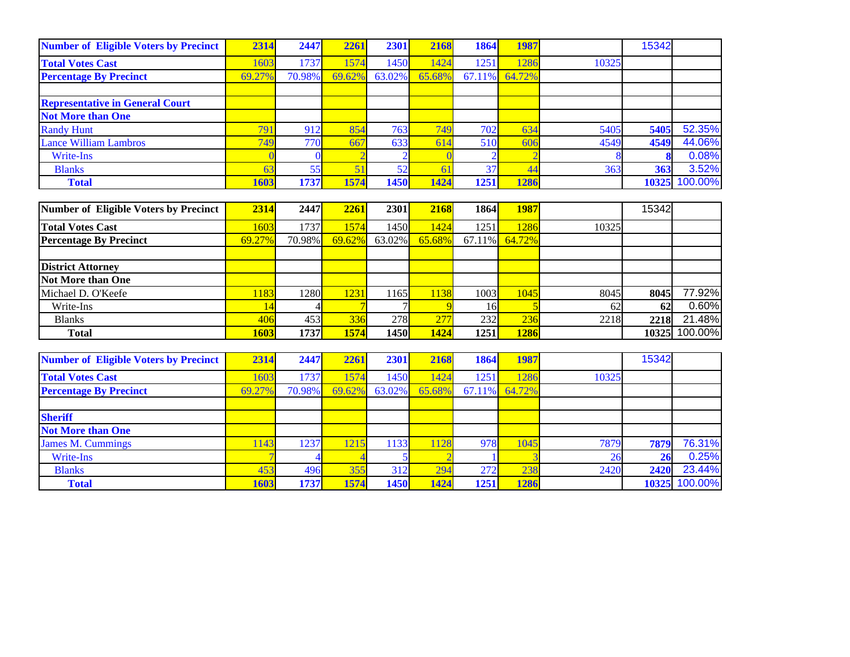| <b>Number of Eligible Voters by Precinct</b> | 2314   | 2447     | 2261   | 2301           | 2168   | 1864   | 1987   |       | 15342 |         |
|----------------------------------------------|--------|----------|--------|----------------|--------|--------|--------|-------|-------|---------|
| <b>Total Votes Cast</b>                      | 1603   | 1737     | 1574   | 1450           | 1424   | 1251   | 1286   | 10325 |       |         |
| <b>Percentage By Precinct</b>                | 69.27% | 70.98%   | 69.62% | 63.02%         | 65.68% | 67.11% | 64.72% |       |       |         |
|                                              |        |          |        |                |        |        |        |       |       |         |
| <b>Representative in General Court</b>       |        |          |        |                |        |        |        |       |       |         |
| <b>Not More than One</b>                     |        |          |        |                |        |        |        |       |       |         |
| <b>Randy Hunt</b>                            | 791    | 912      | 854    | 763            | 749    | 702    | 634    | 5405  | 5405  | 52.35%  |
| <b>Lance William Lambros</b>                 | 749    | 770      | 667    | 633            | 614    | 510    | 606    | 4549  | 4549  | 44.06%  |
| <b>Write-Ins</b>                             |        | $\Omega$ |        | $\mathfrak{D}$ |        |        |        | 8     |       | 0.08%   |
| <b>Blanks</b>                                | 63     | 55       | 51     | 52             | 61     | 37     | 44     | 363   | 363   | 3.52%   |
| <b>Total</b>                                 | 1603   | 1737     | 1574   | 1450           | 1424   | 1251   | 1286   |       | 10325 | 100.00% |
|                                              |        |          |        |                |        |        |        |       |       |         |
| <b>Number of Eligible Voters by Precinct</b> | 2314   | 2447     | 2261   | 2301           | 2168   | 1864   | 1987   |       | 15342 |         |
| <b>Total Votes Cast</b>                      | 1603   | 1737     | 1574   | 1450           | 1424   | 1251   | 1286   | 10325 |       |         |
| <b>Percentage By Precinct</b>                | 69.27% | 70.98%   | 69.62% | 63.02%         | 65.68% | 67.11% | 64.72% |       |       |         |
|                                              |        |          |        |                |        |        |        |       |       |         |
| <b>District Attorney</b>                     |        |          |        |                |        |        |        |       |       |         |
| Not More than One                            |        |          |        |                |        |        |        |       |       |         |
| Michael D. O'Keefe                           | 1183   | 1280     | 1231   | 1165           | 1138   | 1003   | 1045   | 8045  | 8045  | 77.92%  |
| Write-Ins                                    | 14     |          |        |                |        | 16     |        | 62    | 62    | 0.60%   |
| <b>Blanks</b>                                | 406    | 453      | 336    | 278            | 277    | 232    | 236    | 2218  | 2218  | 21.48%  |
| <b>Total</b>                                 | 1603   | 1737     | 1574   | 1450           | 1424   | 1251   | 1286   |       | 10325 | 100.00% |
|                                              |        |          |        |                |        |        |        |       |       |         |
| <b>Number of Eligible Voters by Precinct</b> | 2314   | 2447     | 2261   | 2301           | 2168   | 1864   | 1987   |       | 15342 |         |
| <b>Total Votes Cast</b>                      | 1603   | 1737     | 1574   | 1450           | 1424   | 1251   | 1286   | 10325 |       |         |
| <b>Percentage By Precinct</b>                | 69.27% | 70.98%   | 69.62% | 63.02%         | 65.68% | 67.11% | 64.72% |       |       |         |
|                                              |        |          |        |                |        |        |        |       |       |         |
| <b>Sheriff</b>                               |        |          |        |                |        |        |        |       |       |         |
| <b>Not More than One</b>                     |        |          |        |                |        |        |        |       |       |         |
| <b>James M. Cummings</b>                     | 1143   | 1237     | 1215   | 1133           | 1128   | 978    | 1045   | 7879  | 7879  | 76.31%  |
| <b>Write-Ins</b>                             |        |          |        |                |        |        |        | 26    | 26    | 0.25%   |
| <b>Blanks</b>                                | 453    | 496      | 355    | 312            | 294    | 272    | 238    | 2420  | 2420  | 23.44%  |

 **Total 1603 1737 1574 1450 1424 1251 1286 10325**

10325 100.00%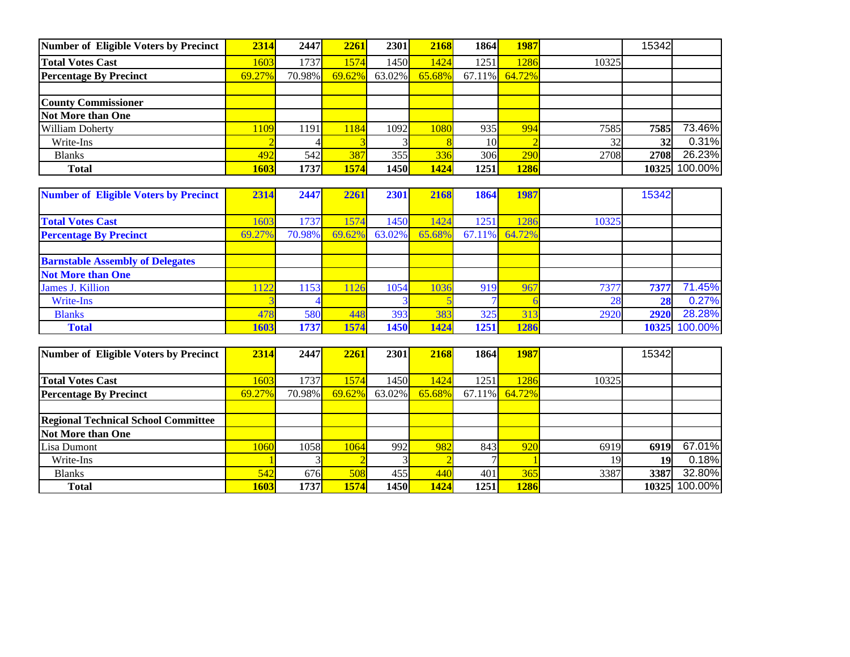| Number of Eligible Voters by Precinct | 2314       | 2447             | 2261   | 2301                | 2168   | 1864      | <b>1987</b> |       | 15342 |         |
|---------------------------------------|------------|------------------|--------|---------------------|--------|-----------|-------------|-------|-------|---------|
| <b>Total Votes Cast</b>               | 1603       | 1737             | 1574   | 1450 <mark>l</mark> | 1424   | 1251      | 1286        | 10325 |       |         |
| <b>Percentage By Precinct</b>         | 69.27%     | 70.98%           | 69.62% | $63.02\%$           | 65.68% | $67.11\%$ | 64.72%      |       |       |         |
|                                       |            |                  |        |                     |        |           |             |       |       |         |
| <b>County Commissioner</b>            |            |                  |        |                     |        |           |             |       |       |         |
| Not More than One                     |            |                  |        |                     |        |           |             |       |       |         |
| <b>William Doherty</b>                | <b>109</b> | 1191             | 1184   | 1092                | 1080   | 935       | 994         | 7585  | 7585  | 73.46%  |
| Write-Ins                             |            |                  |        |                     |        | 10        |             | 32    | 32    | 0.31%   |
| <b>Blanks</b>                         | 492        | 542 <sup> </sup> | 387    | 355                 | 336    | 306       | 290         | 2708  | 2708  | 26.23%  |
| <b>Total</b>                          | 1603       | 1737             | 1574   | 1450I               | 1424   | 1251      | 1286        |       | 10325 | 100.00% |

| <b>Number of Eligible Voters by Precinct</b> | 2314   | 2447   | 2261       | <b>2301</b> | 2168   | 1864 | 1987          |       | 15342 |               |
|----------------------------------------------|--------|--------|------------|-------------|--------|------|---------------|-------|-------|---------------|
|                                              |        |        |            |             |        |      |               |       |       |               |
| <b>Total Votes Cast</b>                      | 1603   | 1737   | 574        | 1450l       | 1424   | 1251 | 286           | 10325 |       |               |
| <b>Percentage By Precinct</b>                | 69.27% | 70.98% | 69.62%     | $63.02\%$   | 65.68% |      | 67.11% 64.72% |       |       |               |
|                                              |        |        |            |             |        |      |               |       |       |               |
| <b>Barnstable Assembly of Delegates</b>      |        |        |            |             |        |      |               |       |       |               |
| <b>Not More than One</b>                     |        |        |            |             |        |      |               |       |       |               |
| James J. Killion                             | 122    | 1153   | <b>126</b> | 1054        | 1036   | 919  | 967           | 7377  | 7377  | 71.45%        |
| Write-Ins                                    |        |        |            |             |        |      |               | 28    | 28    | 0.27%         |
| <b>Blanks</b>                                | 478    | 580    | 448        | 393         | 383    | 325  | 313           | 2920  | 2920  | 28.28%        |
| <b>Total</b>                                 | 1603   | 1737   | 1574       | <b>1450</b> | 1424   | 1251 | 1286          |       |       | 10325 100.00% |

| Number of Eligible Voters by Precinct      | 2314   | 2447                | 2261      | 2301      | 2168   | 1864 | <b>1987</b>   |       | 15342 |         |
|--------------------------------------------|--------|---------------------|-----------|-----------|--------|------|---------------|-------|-------|---------|
|                                            |        |                     |           |           |        |      |               |       |       |         |
| <b>Total Votes Cast</b>                    | 1603   | 1737                | 1574      | 1450      | 1424   | 1251 | 286           | 10325 |       |         |
| <b>Percentage By Precinct</b>              | 69.27% | 70.98%              | $69.62\%$ | $63.02\%$ | 65.68% |      | 67.11% 64.72% |       |       |         |
|                                            |        |                     |           |           |        |      |               |       |       |         |
| <b>Regional Technical School Committee</b> |        |                     |           |           |        |      |               |       |       |         |
| Not More than One                          |        |                     |           |           |        |      |               |       |       |         |
| Lisa Dumont                                | 1060   | 1058                | 1064      | 992       | 982    | 843  | 920           | 6919  | 6919  | 67.01%  |
| Write-Ins                                  |        |                     |           |           |        |      |               |       | 19    | 0.18%   |
| <b>Blanks</b>                              | 542    | 676                 | 508       | 455       | 440    | 401  | 365           | 3387  | 3387  | 32.80%  |
| <b>Total</b>                               | 1603   | 1737 <mark> </mark> | 1574      | 1450      | 1424   | 1251 | 1286          |       | 10325 | 100.00% |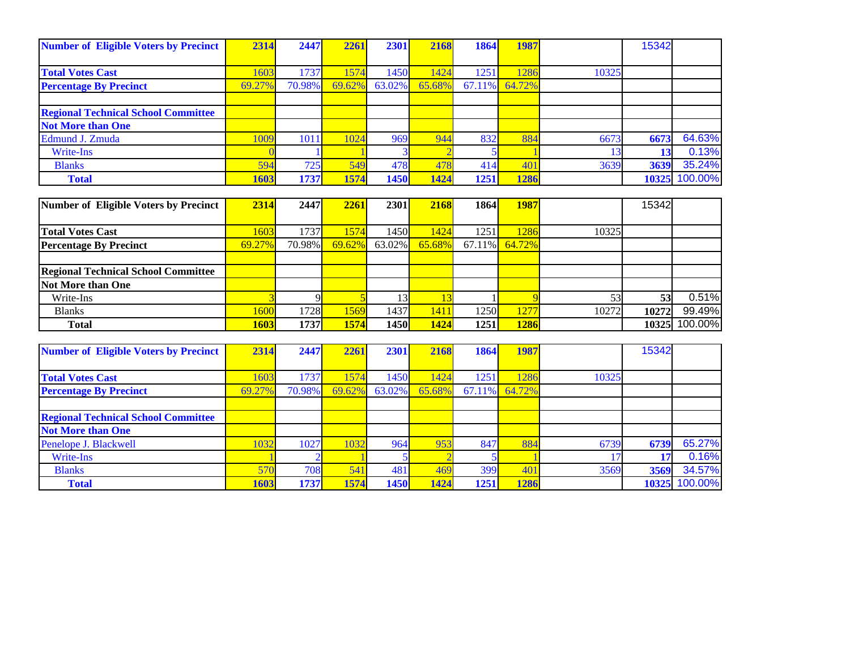| <b>Number of Eligible Voters by Precinct</b> | 2314   | 2447        | 2261   | 2301   | 2168   | 1864      | 1987   |       | 15342 |         |
|----------------------------------------------|--------|-------------|--------|--------|--------|-----------|--------|-------|-------|---------|
|                                              |        |             |        |        |        |           |        |       |       |         |
| <b>Total Votes Cast</b>                      | 1603   | 1737        | 1574   | 1450   | 1424   | 1251      | 1286   | 10325 |       |         |
| <b>Percentage By Precinct</b>                | 69.27% | 70.98%      | 69.62% | 63.02% | 65.68% | $67.11\%$ | 64.72% |       |       |         |
|                                              |        |             |        |        |        |           |        |       |       |         |
| <b>Regional Technical School Committee</b>   |        |             |        |        |        |           |        |       |       |         |
| <b>Not More than One</b>                     |        |             |        |        |        |           |        |       |       |         |
| Edmund J. Zmuda                              | 1009   | 1011        | 1024   | 969    | 944    | 832       | 884    | 6673  | 6673  | 64.63%  |
| Write-Ins                                    |        |             |        |        |        |           |        |       | 13    | 0.13%   |
| <b>Blanks</b>                                | 594    | 725         | 549    | 478    | 478    | 414       | 401    | 3639  | 3639  | 35.24%  |
| <b>Total</b>                                 | 1603   | <b>1737</b> | 1574   | 1450   | 1424   | 1251      | 1286   |       | 10325 | 100.00% |

| Number of Eligible Voters by Precinct      | 2314   | 2447   | 2261   | <b>2301</b> | 2168   | 1864 | <b>1987</b>      |       | 15342 |         |
|--------------------------------------------|--------|--------|--------|-------------|--------|------|------------------|-------|-------|---------|
|                                            |        |        |        |             |        |      |                  |       |       |         |
| <b>Total Votes Cast</b>                    | 1603   | 1737   | 1574   | 1450        | 1424   | 1251 | 1286             | 10325 |       |         |
| <b>Percentage By Precinct</b>              | 69.27% | 70.98% | 69.62% | $63.02\%$   | 65.68% |      | $67.11\%$ 64.72% |       |       |         |
|                                            |        |        |        |             |        |      |                  |       |       |         |
| <b>Regional Technical School Committee</b> |        |        |        |             |        |      |                  |       |       |         |
| <b>Not More than One</b>                   |        |        |        |             |        |      |                  |       |       |         |
| Write-Ins                                  |        |        |        |             |        |      |                  |       | 53    | 0.51%   |
| <b>Blanks</b>                              | 1600   | 1728   | 1569   | 1437        | 1411   | 1250 | 1277             | 10272 | 10272 | 99.49%  |
| <b>Total</b>                               | 1603   | 1737   | 1574   | 1450        | 1424   | 1251 | 1286             |       | 10325 | 100.00% |

| <b>Number of Eligible Voters by Precinct</b> | 2314   | 2447   | 2261   | 2301   | 2168   | 1864      | 1987   |       | 15342 |         |
|----------------------------------------------|--------|--------|--------|--------|--------|-----------|--------|-------|-------|---------|
|                                              |        |        |        |        |        |           |        |       |       |         |
| <b>Total Votes Cast</b>                      | 1603   | 1737   | 1574   | 1450   | 1424   | 1251      | 1286   | 10325 |       |         |
| <b>Percentage By Precinct</b>                | 69.27% | 70.98% | 69.62% | 63.02% | 65.68% | $67.11\%$ | 64.72% |       |       |         |
|                                              |        |        |        |        |        |           |        |       |       |         |
| <b>Regional Technical School Committee</b>   |        |        |        |        |        |           |        |       |       |         |
| <b>Not More than One</b>                     |        |        |        |        |        |           |        |       |       |         |
| Penelope J. Blackwell                        | 032    | 1027   | 1032   | 964    | 953    | 847       | 884    | 6739  | 6739  | 65.27%  |
| Write-Ins                                    |        |        |        |        |        |           |        |       | 17    | 0.16%   |
| <b>Blanks</b>                                | 570    | 708    | 541    | 481    | 469    | 399       | 401    | 3569  | 3569  | 34.57%  |
| <b>Total</b>                                 | 1603   | 1737   | 1574   | 1450   | 1424   | 1251      | 1286   |       | 10325 | 100.00% |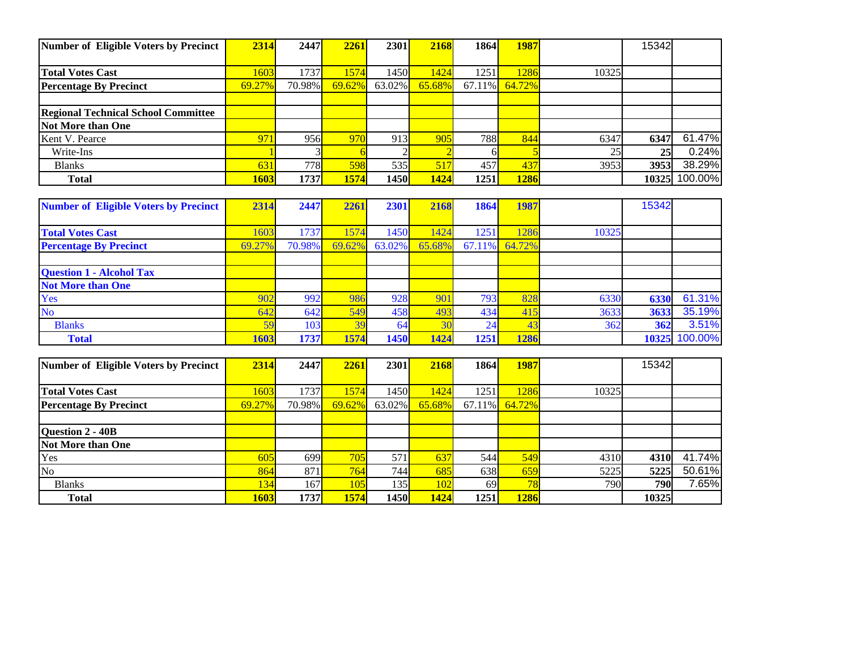| Number of Eligible Voters by Precinct      | 2314   | 2447   | 2261   | 2301             | 2168   | 1864       | <b>1987</b> |       | 15342           |         |
|--------------------------------------------|--------|--------|--------|------------------|--------|------------|-------------|-------|-----------------|---------|
|                                            |        |        |        |                  |        |            |             |       |                 |         |
| <b>Total Votes Cast</b>                    | 1603   | 1737   | 1574   | 1450             | 1424   | 1251       | 286         | 10325 |                 |         |
| <b>Percentage By Precinct</b>              | 69.27% | 70.98% | 69.62% | $63.02\%$        | 65.68% | $67.11\%$  | 64.72%      |       |                 |         |
|                                            |        |        |        |                  |        |            |             |       |                 |         |
| <b>Regional Technical School Committee</b> |        |        |        |                  |        |            |             |       |                 |         |
| Not More than One                          |        |        |        |                  |        |            |             |       |                 |         |
| Kent V. Pearce                             | 971    | 956    | 970    | 913 <sup> </sup> | 905    | <b>788</b> | 844         | 6347  | 6347            | 61.47%  |
| Write-Ins                                  |        |        |        |                  |        |            |             | 25    | 25 <sub>l</sub> | 0.24%   |
| <b>Blanks</b>                              | 631    | 778    | 598    | 535              | 517    | 457        | 437         | 3953  | 3953            | 38.29%  |
| <b>Total</b>                               | 1603   | 1737   | 1574   | 1450             | 1424   | 1251       | 1286        |       | 103251          | 100.00% |

| <b>Number of Eligible Voters by Precinct</b> | 2314   | 2447   | 2261   | 2301          | 2168   | 1864      | 1987   |       | 15342 |               |
|----------------------------------------------|--------|--------|--------|---------------|--------|-----------|--------|-------|-------|---------------|
|                                              |        |        |        |               |        |           |        |       |       |               |
| <b>Total Votes Cast</b>                      | 1603   | 1737   | 1574   | 1450          | 1424   | 1251      | 1286   | 10325 |       |               |
| <b>Percentage By Precinct</b>                | 69.27% | 70.98% | 69.62% | 63.02%        | 65.68% | $67.11\%$ | 64.72% |       |       |               |
|                                              |        |        |        |               |        |           |        |       |       |               |
| <b>Question 1 - Alcohol Tax</b>              |        |        |        |               |        |           |        |       |       |               |
| <b>Not More than One</b>                     |        |        |        |               |        |           |        |       |       |               |
| Yes                                          | 902    | 992    | 986    | 928           | 901    | 793.      | 828    | 6330  | 6330  | 61.31%        |
| <b>No</b>                                    | 642    | 642    | 549    | 458           | 493    | 434       | 415    | 3633  | 3633  | 35.19%        |
| <b>Blanks</b>                                | 59     | 103    | 39     | <sup>64</sup> | 30     | 24        | 43     | 362   | 362   | 3.51%         |
| <b>Total</b>                                 | 1603   | 1737   | 1574   | 1450          | 1424   | 1251      | 1286   |       |       | 10325 100.00% |

| Number of Eligible Voters by Precinct | 2314   | 2447   | 2261   | 2301   | 2168   | 1864          | <b>1987</b> |       | 15342 |        |
|---------------------------------------|--------|--------|--------|--------|--------|---------------|-------------|-------|-------|--------|
|                                       |        |        |        |        |        |               |             |       |       |        |
| <b>Total Votes Cast</b>               | 1603   | 1737   | 1574   | 1450   | 1424   | 1251          | 286         | 10325 |       |        |
| <b>Percentage By Precinct</b>         | 69.27% | 70.98% | 69.62% | 63.02% | 65.68% | 67.11%        | 64.72%      |       |       |        |
|                                       |        |        |        |        |        |               |             |       |       |        |
| Question 2 - 40B                      |        |        |        |        |        |               |             |       |       |        |
| Not More than One                     |        |        |        |        |        |               |             |       |       |        |
| Yes                                   | 605    | 699    | 705    | 571    | 637    | 544           | 549         | 4310  | 4310  | 41.74% |
| N <sub>o</sub>                        | 864    | 871    | 764    | 744    | 685    | 638           | 659         | 5225  | 5225  | 50.61% |
| <b>Blanks</b>                         | 134    | 167    | 105    | 135    | 102    | <sup>69</sup> | 78          | 790   | 790   | 7.65%  |
| <b>Total</b>                          | 1603   | 1737   | 1574   | 1450   | 1424   | 1251          | <b>1286</b> |       | 10325 |        |